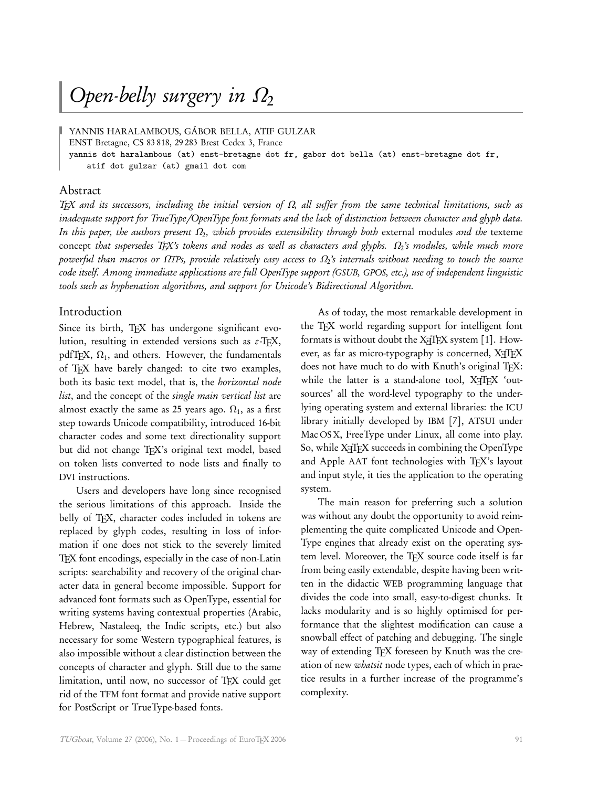# Open-belly surgery in *Ω*<sup>2</sup>

YANNIS HARALAMBOUS, GÁBOR BELLA, ATIF GULZAR

ENST Bretagne, CS 83 818, 29 283 Brest Cedex 3, France

yannis dot haralambous (at) enst-bretagne dot fr, gabor dot bella (at) enst-bretagne dot fr,

atif dot gulzar (at) gmail dot com

#### Abstract

TEX and its successors, including the initial version of *Ω*, all suffer from the same technical limitations, such as inadequate support for TrueType*/*OpenType font formats and the lack of distinction between character and glyph data. In this paper, the authors present Ω<sub>2</sub>, which provides extensibility through both external modules *and the* texteme concept that supersedes TEX's tokens and nodes as well as characters and glyphs. *Ω*<sup>2</sup> 's modules, while much more powerful than macros or *Ω*TPs, provide relatively easy access to *Ω*<sup>2</sup> 's internals without needing to touch the source code itself. Among immediate applications are full OpenType support (GSUB, GPOS, etc.), use of independent linguistic tools such as hyphenation algorithms, and support for Unicode's Bidirectional Algorithm.

## Introduction

Since its birth, TFX has undergone significant evolution, resulting in extended versions such as  $\varepsilon$ -T<sub>E</sub>X, pdfTEX,  $\Omega_1$ , and others. However, the fundamentals of TFX have barely changed: to cite two examples, both its basic text model, that is, the horizontal node list, and the concept of the *single main vertical list* are almost exactly the same as 25 years ago.  $\Omega_1$ , as a first step towards Unicode compatibility, introduced 16-bit character codes and some text directionality support but did not change TEX's original text model, based on token lists converted to node lists and finally to DVI instructions.

Users and developers have long since recognised the serious limitations of this approach. Inside the belly of TEX, character codes included in tokens are replaced by glyph codes, resulting in loss of information if one does not stick to the severely limited TEX font encodings, especially in the case of non-Latin scripts: searchability and recovery of the original character data in general become impossible. Support for advanced font formats such as OpenType, essential for writing systems having contextual properties (Arabic, Hebrew, Nastaleeq, the Indic scripts, etc.) but also necessary for some Western typographical features, is also impossible without a clear distinction between the concepts of character and glyph. Still due to the same limitation, until now, no successor of TFX could get rid of the TFM font format and provide native support for PostScript or TrueType-based fonts.

As of today, the most remarkable development in the TEX world regarding support for intelligent font formats is without doubt the X $\frac{1}{T}$ EX system [1]. However, as far as micro-typography is concerned,  $X \nexists F X$ does not have much to do with Knuth's original TFX: while the latter is a stand-alone tool, XATEX 'outsources' all the word-level typography to the underlying operating system and external libraries: the ICU library initially developed by IBM [7], ATSUI under Mac OS X, FreeType under Linux, all come into play. So, while X<sub>H</sub>TEX succeeds in combining the OpenType and Apple AAT font technologies with TEX's layout and input style, it ties the application to the operating system.

The main reason for preferring such a solution was without any doubt the opportunity to avoid reimplementing the quite complicated Unicode and Open-Type engines that already exist on the operating system level. Moreover, the TFX source code itself is far from being easily extendable, despite having been written in the didactic WEB programming language that divides the code into small, easy-to-digest chunks. It lacks modularity and is so highly optimised for performance that the slightest modification can cause a snowball effect of patching and debugging. The single way of extending TFX foreseen by Knuth was the creation of new *whatsit* node types, each of which in practice results in a further increase of the programme's complexity.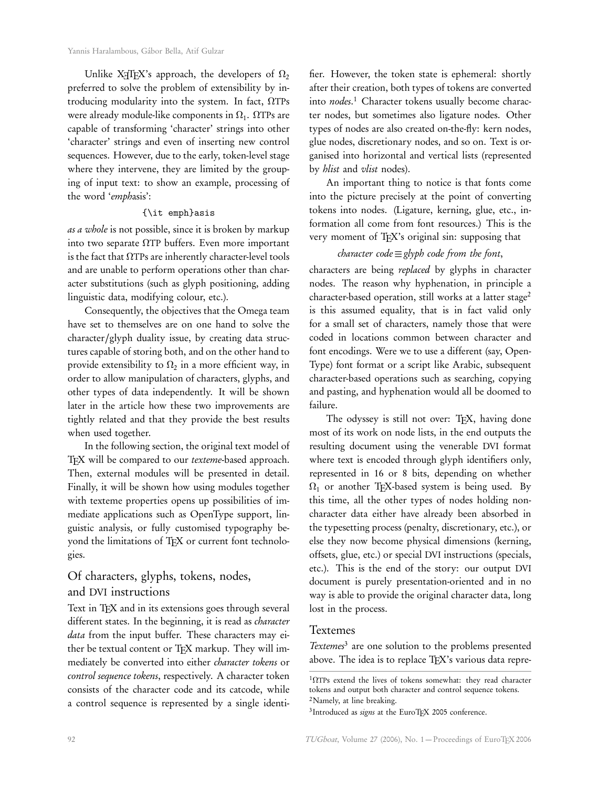Unlike X<sub>I</sub>TEX's approach, the developers of  $\Omega_2$ preferred to solve the problem of extensibility by introducing modularity into the system. In fact, ΩTPs were already module-like components in  $\Omega_1$ .  $\Omega$ TPs are capable of transforming 'character' strings into other 'character' strings and even of inserting new control sequences. However, due to the early, token-level stage where they intervene, they are limited by the grouping of input text: to show an example, processing of the word 'emphasis':

## {\it emph}asis

as a whole is not possible, since it is broken by markup into two separate  $\Omega$ TP buffers. Even more important is the fact that  $\Omega$ TPs are inherently character-level tools and are unable to perform operations other than character substitutions (such as glyph positioning, adding linguistic data, modifying colour, etc.).

Consequently, the objectives that the Omega team have set to themselves are on one hand to solve the character/glyph duality issue, by creating data structures capable of storing both, and on the other hand to provide extensibility to  $\Omega_2$  in a more efficient way, in order to allow manipulation of characters, glyphs, and other types of data independently. It will be shown later in the article how these two improvements are tightly related and that they provide the best results when used together.

In the following section, the original text model of TEX will be compared to our texteme-based approach. Then, external modules will be presented in detail. Finally, it will be shown how using modules together with texteme properties opens up possibilities of immediate applications such as OpenType support, linguistic analysis, or fully customised typography beyond the limitations of TEX or current font technologies.

## Of characters, glyphs, tokens, nodes, and DVI instructions

Text in TEX and in its extensions goes through several different states. In the beginning, it is read as *character* data from the input buffer. These characters may either be textual content or TEX markup. They will immediately be converted into either character tokens or control sequence tokens, respectively. A character token consists of the character code and its catcode, while a control sequence is represented by a single identifier. However, the token state is ephemeral: shortly after their creation, both types of tokens are converted into nodes.<sup>1</sup> Character tokens usually become character nodes, but sometimes also ligature nodes. Other types of nodes are also created on-the-fly: kern nodes, glue nodes, discretionary nodes, and so on. Text is organised into horizontal and vertical lists (represented by hlist and vlist nodes).

An important thing to notice is that fonts come into the picture precisely at the point of converting tokens into nodes. (Ligature, kerning, glue, etc., information all come from font resources.) This is the very moment of TFX's original sin: supposing that

## character code  $\equiv$  glyph code from the font,

characters are being replaced by glyphs in character nodes. The reason why hyphenation, in principle a character-based operation, still works at a latter stage<sup>2</sup> is this assumed equality, that is in fact valid only for a small set of characters, namely those that were coded in locations common between character and font encodings. Were we to use a different (say, Open-Type) font format or a script like Arabic, subsequent character-based operations such as searching, copying and pasting, and hyphenation would all be doomed to failure.

The odyssey is still not over: TEX, having done most of its work on node lists, in the end outputs the resulting document using the venerable DVI format where text is encoded through glyph identifiers only, represented in 16 or 8 bits, depending on whether  $\Omega_1$  or another TEX-based system is being used. By this time, all the other types of nodes holding noncharacter data either have already been absorbed in the typesetting process (penalty, discretionary, etc.), or else they now become physical dimensions (kerning, offsets, glue, etc.) or special DVI instructions (specials, etc.). This is the end of the story: our output DVI document is purely presentation-oriented and in no way is able to provide the original character data, long lost in the process.

## Textemes

Textemes<sup>3</sup> are one solution to the problems presented above. The idea is to replace TEX's various data repre-

 $1$ ΩTPs extend the lives of tokens somewhat: they read character tokens and output both character and control sequence tokens. <sup>2</sup>Namely, at line breaking.

<sup>&</sup>lt;sup>3</sup>Introduced as *signs* at the EuroTEX 2005 conference.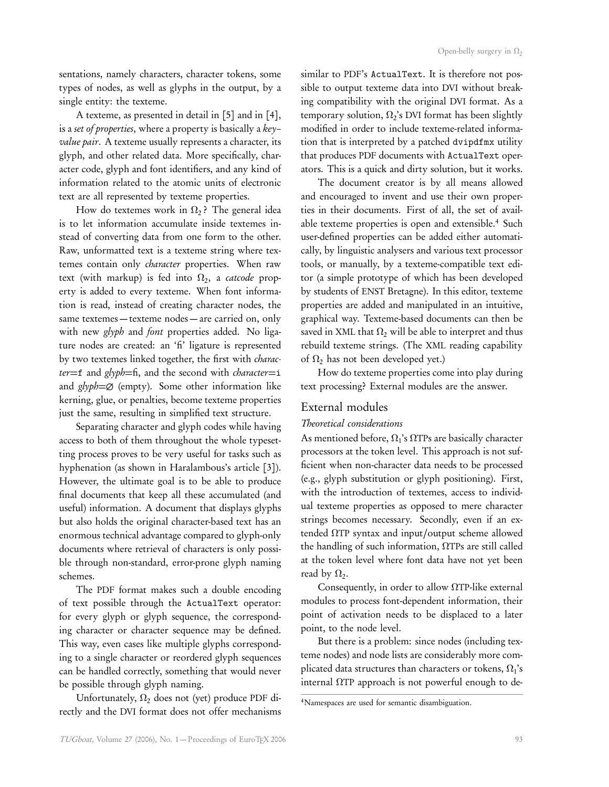sentations, namely characters, character tokens, some types of nodes, as well as glyphs in the output, by a single entity: the texteme.

A texteme, as presented in detail in [5] and in [4], is a set of properties, where a property is basically a key– value pair. A texteme usually represents a character, its glyph, and other related data. More specifically, character code, glyph and font identifiers, and any kind of information related to the atomic units of electronic text are all represented by texteme properties.

How do textemes work in  $\Omega_2$ ? The general idea is to let information accumulate inside textemes instead of converting data from one form to the other. Raw, unformatted text is a texteme string where textemes contain only *character* properties. When raw text (with markup) is fed into  $\Omega_2$ , a *catcode* property is added to every texteme. When font information is read, instead of creating character nodes, the same textemes — texteme nodes — are carried on, only with new *glyph* and *font* properties added. No ligature nodes are created: an 'fi' ligature is represented by two textemes linked together, the first with *charac*ter=f and glyph=fi, and the second with *character*=i and  $glyph = \emptyset$  (empty). Some other information like kerning, glue, or penalties, become texteme properties just the same, resulting in simplified text structure.

Separating character and glyph codes while having access to both of them throughout the whole typesetting process proves to be very useful for tasks such as hyphenation (as shown in Haralambous's article [3]). However, the ultimate goal is to be able to produce final documents that keep all these accumulated (and useful) information. A document that displays glyphs but also holds the original character-based text has an enormous technical advantage compared to glyph-only documents where retrieval of characters is only possible through non-standard, error-prone glyph naming schemes.

The PDF format makes such a double encoding of text possible through the ActualText operator: for every glyph or glyph sequence, the corresponding character or character sequence may be defined. This way, even cases like multiple glyphs corresponding to a single character or reordered glyph sequences can be handled correctly, something that would never be possible through glyph naming.

Unfortunately,  $\Omega_2$  does not (yet) produce PDF directly and the DVI format does not offer mechanisms similar to PDF's ActualText. It is therefore not possible to output texteme data into DVI without breaking compatibility with the original DVI format. As a temporary solution,  $\Omega_2$ 's DVI format has been slightly modified in order to include texteme-related information that is interpreted by a patched dvipdfmx utility that produces PDF documents with ActualText operators. This is a quick and dirty solution, but it works.

The document creator is by all means allowed and encouraged to invent and use their own properties in their documents. First of all, the set of available texteme properties is open and extensible.<sup>4</sup> Such user-defined properties can be added either automatically, by linguistic analysers and various text processor tools, or manually, by a texteme-compatible text editor (a simple prototype of which has been developed by students of ENST Bretagne). In this editor, texteme properties are added and manipulated in an intuitive, graphical way. Texteme-based documents can then be saved in XML that  $\Omega_2$  will be able to interpret and thus rebuild texteme strings. (The XML reading capability of  $\Omega_2$  has not been developed yet.)

How do texteme properties come into play during text processing? External modules are the answer.

#### External modules

#### Theoretical considerations

As mentioned before,  $\Omega_1$ 's  $\Omega$ TPs are basically character processors at the token level. This approach is not sufficient when non-character data needs to be processed (e.g., glyph substitution or glyph positioning). First, with the introduction of textemes, access to individual texteme properties as opposed to mere character strings becomes necessary. Secondly, even if an extended  $\Omega$ TP syntax and input/output scheme allowed the handling of such information, ΩTPs are still called at the token level where font data have not yet been read by  $\Omega_2$ .

Consequently, in order to allow  $\Omega$ TP-like external modules to process font-dependent information, their point of activation needs to be displaced to a later point, to the node level.

But there is a problem: since nodes (including texteme nodes) and node lists are considerably more complicated data structures than characters or tokens,  $\Omega_{\rm 1}$ 's internal  $\Omega$ TP approach is not powerful enough to de-

<sup>4</sup>Namespaces are used for semantic disambiguation.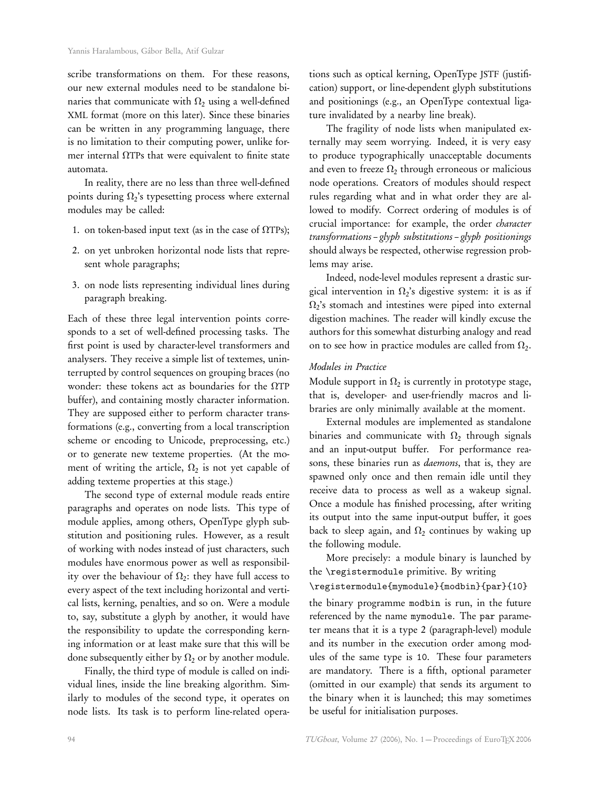scribe transformations on them. For these reasons, our new external modules need to be standalone binaries that communicate with  $\Omega_2$  using a well-defined XML format (more on this later). Since these binaries can be written in any programming language, there is no limitation to their computing power, unlike former internal ΩTPs that were equivalent to finite state automata.

In reality, there are no less than three well-defined points during  $\Omega_2$ 's typesetting process where external modules may be called:

- 1. on token-based input text (as in the case of  $\Omega$ TPs);
- 2. on yet unbroken horizontal node lists that represent whole paragraphs;
- 3. on node lists representing individual lines during paragraph breaking.

Each of these three legal intervention points corresponds to a set of well-defined processing tasks. The first point is used by character-level transformers and analysers. They receive a simple list of textemes, uninterrupted by control sequences on grouping braces (no wonder: these tokens act as boundaries for the ΩTP buffer), and containing mostly character information. They are supposed either to perform character transformations (e.g., converting from a local transcription scheme or encoding to Unicode, preprocessing, etc.) or to generate new texteme properties. (At the moment of writing the article,  $\Omega_2$  is not yet capable of adding texteme properties at this stage.)

The second type of external module reads entire paragraphs and operates on node lists. This type of module applies, among others, OpenType glyph substitution and positioning rules. However, as a result of working with nodes instead of just characters, such modules have enormous power as well as responsibility over the behaviour of  $\Omega_2$ : they have full access to every aspect of the text including horizontal and vertical lists, kerning, penalties, and so on. Were a module to, say, substitute a glyph by another, it would have the responsibility to update the corresponding kerning information or at least make sure that this will be done subsequently either by  $\Omega_2$  or by another module.

Finally, the third type of module is called on individual lines, inside the line breaking algorithm. Similarly to modules of the second type, it operates on node lists. Its task is to perform line-related operations such as optical kerning, OpenType JSTF (justification) support, or line-dependent glyph substitutions and positionings (e.g., an OpenType contextual ligature invalidated by a nearby line break).

The fragility of node lists when manipulated externally may seem worrying. Indeed, it is very easy to produce typographically unacceptable documents and even to freeze  $\Omega_2$  through erroneous or malicious node operations. Creators of modules should respect rules regarding what and in what order they are allowed to modify. Correct ordering of modules is of crucial importance: for example, the order character transformations – glyph substitutions – glyph positionings should always be respected, otherwise regression problems may arise.

Indeed, node-level modules represent a drastic surgical intervention in  $\Omega_2$ 's digestive system: it is as if  $\Omega_2$ 's stomach and intestines were piped into external digestion machines. The reader will kindly excuse the authors for this somewhat disturbing analogy and read on to see how in practice modules are called from  $\Omega_2$ .

#### Modules in Practice

Module support in  $\Omega_2$  is currently in prototype stage, that is, developer- and user-friendly macros and libraries are only minimally available at the moment.

External modules are implemented as standalone binaries and communicate with  $\Omega_2$  through signals and an input-output buffer. For performance reasons, these binaries run as *daemons*, that is, they are spawned only once and then remain idle until they receive data to process as well as a wakeup signal. Once a module has finished processing, after writing its output into the same input-output buffer, it goes back to sleep again, and  $\Omega_2$  continues by waking up the following module.

More precisely: a module binary is launched by the \registermodule primitive. By writing

\registermodule{mymodule}{modbin}{par}{10}

the binary programme modbin is run, in the future referenced by the name mymodule. The par parameter means that it is a type 2 (paragraph-level) module and its number in the execution order among modules of the same type is 10. These four parameters are mandatory. There is a fifth, optional parameter (omitted in our example) that sends its argument to the binary when it is launched; this may sometimes be useful for initialisation purposes.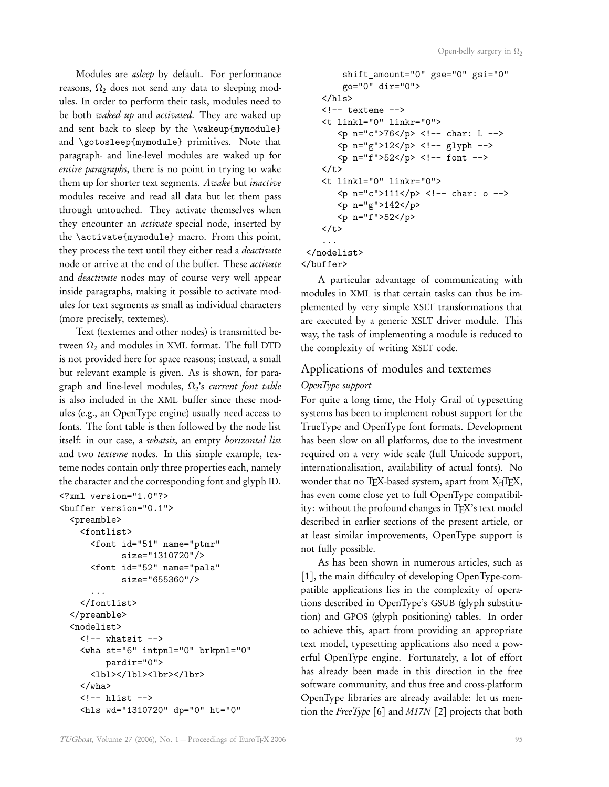Modules are asleep by default. For performance reasons,  $\Omega_2$  does not send any data to sleeping modules. In order to perform their task, modules need to be both waked up and activated. They are waked up and sent back to sleep by the \wakeup{mymodule} and \gotosleep{mymodule} primitives. Note that paragraph- and line-level modules are waked up for entire paragraphs, there is no point in trying to wake them up for shorter text segments. Awake but inactive modules receive and read all data but let them pass through untouched. They activate themselves when they encounter an *activate* special node, inserted by the \activate{mymodule} macro. From this point, they process the text until they either read a *deactivate* node or arrive at the end of the buffer. These activate and deactivate nodes may of course very well appear inside paragraphs, making it possible to activate modules for text segments as small as individual characters (more precisely, textemes).

Text (textemes and other nodes) is transmitted between  $\Omega_2$  and modules in XML format. The full DTD is not provided here for space reasons; instead, a small but relevant example is given. As is shown, for paragraph and line-level modules,  $\Omega_2$ 's *current font table* is also included in the XML buffer since these modules (e.g., an OpenType engine) usually need access to fonts. The font table is then followed by the node list itself: in our case, a whatsit, an empty horizontal list and two texteme nodes. In this simple example, texteme nodes contain only three properties each, namely the character and the corresponding font and glyph ID.

```
<?xml version="1.0"?>
<buffer version="0.1">
  <preamble>
    <fontlist>
       <font id="51" name="ptmr"
              size="1310720"/>
       <font id="52" name="pala"
             size="655360"/>
       ...
    </fontlist>
  </preamble>
  <nodelist>
    \left\langle \cdot \right\rangle -- whatsit -->
    <wha st="6" intpnl="0" brkpnl="0"
          pardir="0">
      <lbl></lbl><lbr></lbr>
    </wha>
    \leftarrow - hlist \leftarrow<hls wd="1310720" dp="0" ht="0"
```

```
shift_amount="0" gse="0" gsi="0"
         go="0" dir="0">
    \langlehls>
    \leftarrow -- texteme -->
    <t linkl="0" linkr="0">
        <p n="c">76</p> <!-- char: L -->
        < p n="g">12</p> <!-- glyph -->
        < p n="f">52</p> <!-- font -->
    \langle/t>
    <t linkl="0" linkr="0">
        \{p \ n = "c" > 111 \le p \} \{1 - \text{char}: 0 \}<p n="g">142</p>
        <p n="f">52</p>
    \langle/t>
    ...
 </nodelist>
</buffer>
```
A particular advantage of communicating with modules in XML is that certain tasks can thus be implemented by very simple XSLT transformations that are executed by a generic XSLT driver module. This way, the task of implementing a module is reduced to the complexity of writing XSLT code.

## Applications of modules and textemes

## OpenType support

For quite a long time, the Holy Grail of typesetting systems has been to implement robust support for the TrueType and OpenType font formats. Development has been slow on all platforms, due to the investment required on a very wide scale (full Unicode support, internationalisation, availability of actual fonts). No wonder that no TFX-based system, apart from XTTFX, has even come close yet to full OpenType compatibility: without the profound changes in TEX's text model described in earlier sections of the present article, or at least similar improvements, OpenType support is not fully possible.

As has been shown in numerous articles, such as [1], the main difficulty of developing OpenType-compatible applications lies in the complexity of operations described in OpenType's GSUB (glyph substitution) and GPOS (glyph positioning) tables. In order to achieve this, apart from providing an appropriate text model, typesetting applications also need a powerful OpenType engine. Fortunately, a lot of effort has already been made in this direction in the free software community, and thus free and cross-platform OpenType libraries are already available: let us mention the  $FreeType [6]$  and  $M17N [2]$  projects that both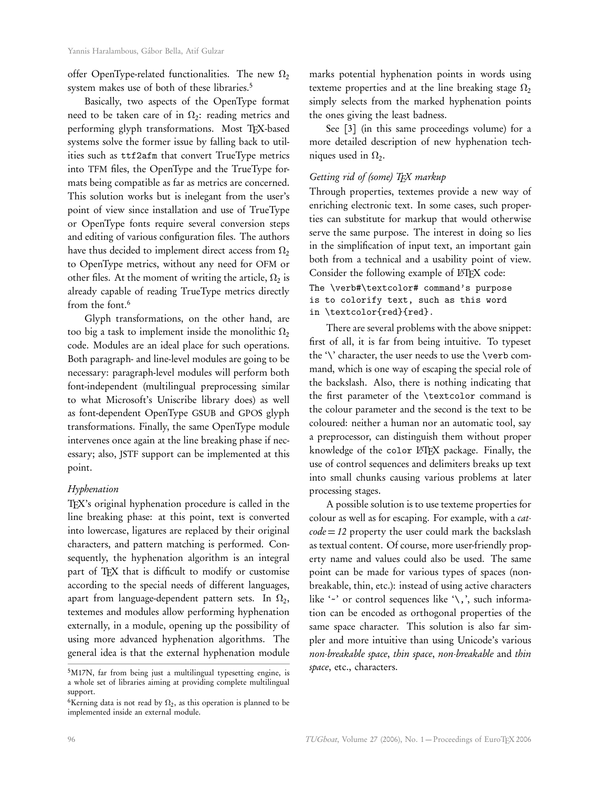offer OpenType-related functionalities. The new  $\Omega_2$ system makes use of both of these libraries.<sup>5</sup>

Basically, two aspects of the OpenType format need to be taken care of in  $\Omega_2$ : reading metrics and performing glyph transformations. Most TEX-based systems solve the former issue by falling back to utilities such as ttf2afm that convert TrueType metrics into TFM files, the OpenType and the TrueType formats being compatible as far as metrics are concerned. This solution works but is inelegant from the user's point of view since installation and use of TrueType or OpenType fonts require several conversion steps and editing of various configuration files. The authors have thus decided to implement direct access from  $\Omega_2$ to OpenType metrics, without any need for OFM or other files. At the moment of writing the article,  $\Omega_2$  is already capable of reading TrueType metrics directly from the font.<sup>6</sup>

Glyph transformations, on the other hand, are too big a task to implement inside the monolithic  $\Omega_2$ code. Modules are an ideal place for such operations. Both paragraph- and line-level modules are going to be necessary: paragraph-level modules will perform both font-independent (multilingual preprocessing similar to what Microsoft's Uniscribe library does) as well as font-dependent OpenType GSUB and GPOS glyph transformations. Finally, the same OpenType module intervenes once again at the line breaking phase if necessary; also, JSTF support can be implemented at this point.

#### Hyphenation

TEX's original hyphenation procedure is called in the line breaking phase: at this point, text is converted into lowercase, ligatures are replaced by their original characters, and pattern matching is performed. Consequently, the hyphenation algorithm is an integral part of TEX that is difficult to modify or customise according to the special needs of different languages, apart from language-dependent pattern sets. In  $\Omega_2,$ textemes and modules allow performing hyphenation externally, in a module, opening up the possibility of using more advanced hyphenation algorithms. The general idea is that the external hyphenation module

marks potential hyphenation points in words using texteme properties and at the line breaking stage  $\Omega_2$ simply selects from the marked hyphenation points the ones giving the least badness.

See [3] (in this same proceedings volume) for a more detailed description of new hyphenation techniques used in  $\Omega_2$ .

#### Getting rid of (some) TFX markup

Through properties, textemes provide a new way of enriching electronic text. In some cases, such properties can substitute for markup that would otherwise serve the same purpose. The interest in doing so lies in the simplification of input text, an important gain both from a technical and a usability point of view. Consider the following example of LATEX code:

```
The \verb#\textcolor# command's purpose
is to colorify text, such as this word
in \textcolor{red}{red}.
```
There are several problems with the above snippet: first of all, it is far from being intuitive. To typeset the '\' character, the user needs to use the \verb command, which is one way of escaping the special role of the backslash. Also, there is nothing indicating that the first parameter of the \textcolor command is the colour parameter and the second is the text to be coloured: neither a human nor an automatic tool, say a preprocessor, can distinguish them without proper knowledge of the color LHEX package. Finally, the use of control sequences and delimiters breaks up text into small chunks causing various problems at later processing stages.

A possible solution is to use texteme properties for colour as well as for escaping. For example, with a cat $code = 12$  property the user could mark the backslash as textual content. Of course, more user-friendly property name and values could also be used. The same point can be made for various types of spaces (nonbreakable, thin, etc.): instead of using active characters like '-' or control sequences like '\,', such information can be encoded as orthogonal properties of the same space character. This solution is also far simpler and more intuitive than using Unicode's various non-breakable space, thin space, non-breakable and thin space, etc., characters.

<sup>5</sup>M17N, far from being just a multilingual typesetting engine, is a whole set of libraries aiming at providing complete multilingual support.

<sup>&</sup>lt;sup>6</sup>Kerning data is not read by  $\Omega_2$ , as this operation is planned to be implemented inside an external module.